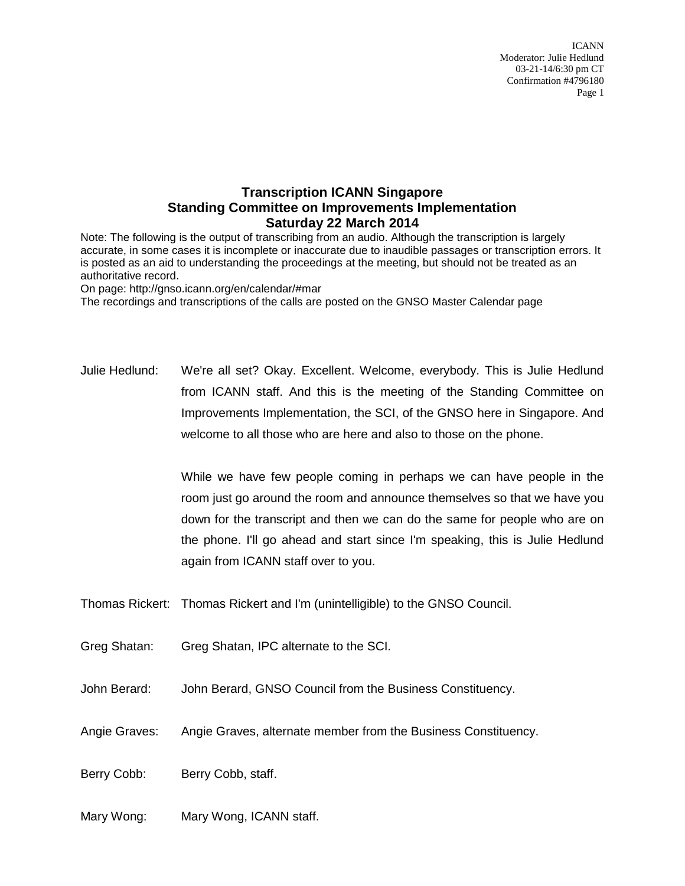ICANN Moderator: Julie Hedlund 03-21-14/6:30 pm CT Confirmation #4796180 Page 1

## **Transcription ICANN Singapore Standing Committee on Improvements Implementation Saturday 22 March 2014**

Note: The following is the output of transcribing from an audio. Although the transcription is largely accurate, in some cases it is incomplete or inaccurate due to inaudible passages or transcription errors. It is posted as an aid to understanding the proceedings at the meeting, but should not be treated as an authoritative record.

On page: http://gnso.icann.org/en/calendar/#mar

The recordings and transcriptions of the calls are posted on the GNSO Master Calendar page

Julie Hedlund: We're all set? Okay. Excellent. Welcome, everybody. This is Julie Hedlund from ICANN staff. And this is the meeting of the Standing Committee on Improvements Implementation, the SCI, of the GNSO here in Singapore. And welcome to all those who are here and also to those on the phone.

> While we have few people coming in perhaps we can have people in the room just go around the room and announce themselves so that we have you down for the transcript and then we can do the same for people who are on the phone. I'll go ahead and start since I'm speaking, this is Julie Hedlund again from ICANN staff over to you.

- Thomas Rickert: Thomas Rickert and I'm (unintelligible) to the GNSO Council.
- Greg Shatan: Greg Shatan, IPC alternate to the SCI.
- John Berard: John Berard, GNSO Council from the Business Constituency.
- Angie Graves: Angie Graves, alternate member from the Business Constituency.
- Berry Cobb: Berry Cobb, staff.
- Mary Wong: Mary Wong, ICANN staff.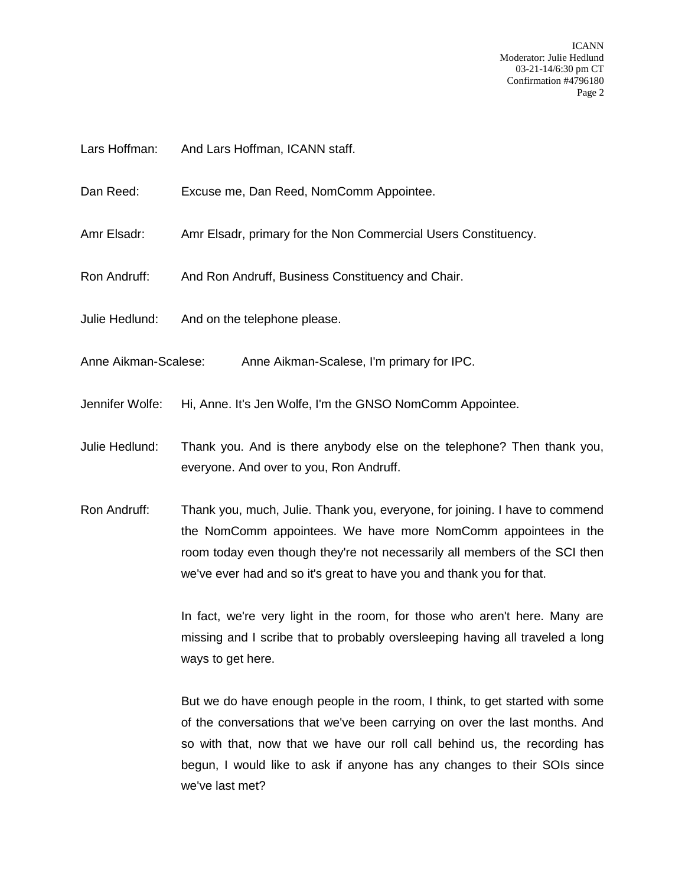ICANN Moderator: Julie Hedlund 03-21-14/6:30 pm CT Confirmation #4796180 Page 2

- Lars Hoffman: And Lars Hoffman, ICANN staff.
- Dan Reed: Excuse me, Dan Reed, NomComm Appointee.
- Amr Elsadr: Amr Elsadr, primary for the Non Commercial Users Constituency.
- Ron Andruff: And Ron Andruff, Business Constituency and Chair.
- Julie Hedlund: And on the telephone please.
- Anne Aikman-Scalese: Anne Aikman-Scalese, I'm primary for IPC.
- Jennifer Wolfe: Hi, Anne. It's Jen Wolfe, I'm the GNSO NomComm Appointee.
- Julie Hedlund: Thank you. And is there anybody else on the telephone? Then thank you, everyone. And over to you, Ron Andruff.
- Ron Andruff: Thank you, much, Julie. Thank you, everyone, for joining. I have to commend the NomComm appointees. We have more NomComm appointees in the room today even though they're not necessarily all members of the SCI then we've ever had and so it's great to have you and thank you for that.

In fact, we're very light in the room, for those who aren't here. Many are missing and I scribe that to probably oversleeping having all traveled a long ways to get here.

But we do have enough people in the room, I think, to get started with some of the conversations that we've been carrying on over the last months. And so with that, now that we have our roll call behind us, the recording has begun, I would like to ask if anyone has any changes to their SOIs since we've last met?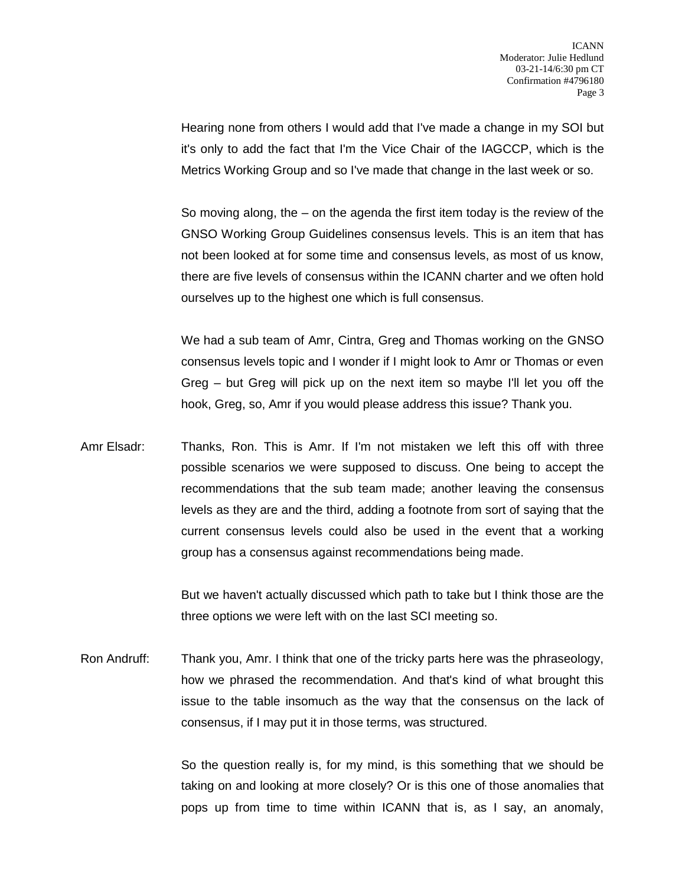Hearing none from others I would add that I've made a change in my SOI but it's only to add the fact that I'm the Vice Chair of the IAGCCP, which is the Metrics Working Group and so I've made that change in the last week or so.

So moving along, the – on the agenda the first item today is the review of the GNSO Working Group Guidelines consensus levels. This is an item that has not been looked at for some time and consensus levels, as most of us know, there are five levels of consensus within the ICANN charter and we often hold ourselves up to the highest one which is full consensus.

We had a sub team of Amr, Cintra, Greg and Thomas working on the GNSO consensus levels topic and I wonder if I might look to Amr or Thomas or even Greg – but Greg will pick up on the next item so maybe I'll let you off the hook, Greg, so, Amr if you would please address this issue? Thank you.

Amr Elsadr: Thanks, Ron. This is Amr. If I'm not mistaken we left this off with three possible scenarios we were supposed to discuss. One being to accept the recommendations that the sub team made; another leaving the consensus levels as they are and the third, adding a footnote from sort of saying that the current consensus levels could also be used in the event that a working group has a consensus against recommendations being made.

> But we haven't actually discussed which path to take but I think those are the three options we were left with on the last SCI meeting so.

Ron Andruff: Thank you, Amr. I think that one of the tricky parts here was the phraseology, how we phrased the recommendation. And that's kind of what brought this issue to the table insomuch as the way that the consensus on the lack of consensus, if I may put it in those terms, was structured.

> So the question really is, for my mind, is this something that we should be taking on and looking at more closely? Or is this one of those anomalies that pops up from time to time within ICANN that is, as I say, an anomaly,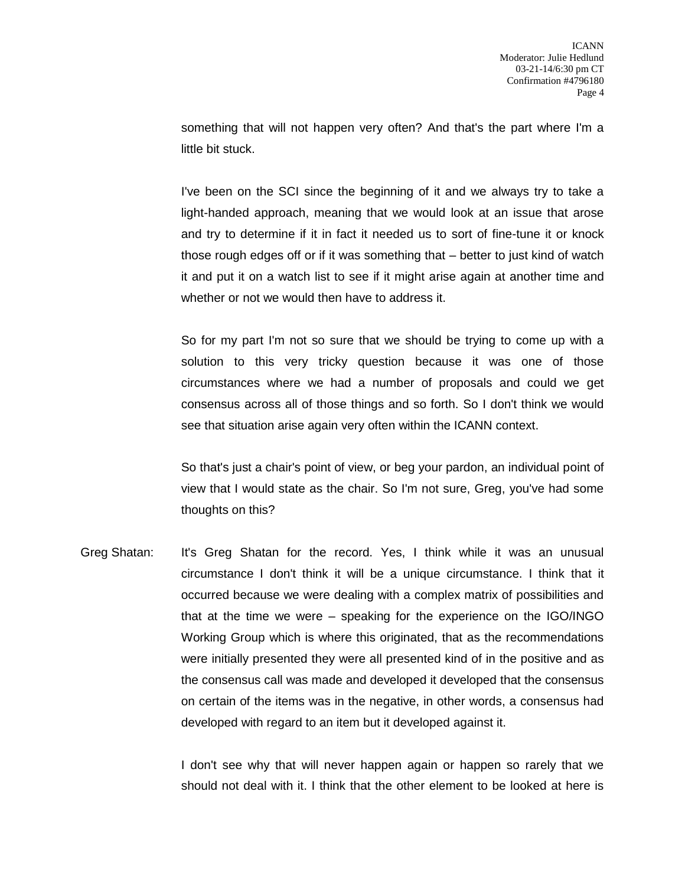something that will not happen very often? And that's the part where I'm a little bit stuck.

I've been on the SCI since the beginning of it and we always try to take a light-handed approach, meaning that we would look at an issue that arose and try to determine if it in fact it needed us to sort of fine-tune it or knock those rough edges off or if it was something that – better to just kind of watch it and put it on a watch list to see if it might arise again at another time and whether or not we would then have to address it.

So for my part I'm not so sure that we should be trying to come up with a solution to this very tricky question because it was one of those circumstances where we had a number of proposals and could we get consensus across all of those things and so forth. So I don't think we would see that situation arise again very often within the ICANN context.

So that's just a chair's point of view, or beg your pardon, an individual point of view that I would state as the chair. So I'm not sure, Greg, you've had some thoughts on this?

Greg Shatan: It's Greg Shatan for the record. Yes, I think while it was an unusual circumstance I don't think it will be a unique circumstance. I think that it occurred because we were dealing with a complex matrix of possibilities and that at the time we were – speaking for the experience on the IGO/INGO Working Group which is where this originated, that as the recommendations were initially presented they were all presented kind of in the positive and as the consensus call was made and developed it developed that the consensus on certain of the items was in the negative, in other words, a consensus had developed with regard to an item but it developed against it.

> I don't see why that will never happen again or happen so rarely that we should not deal with it. I think that the other element to be looked at here is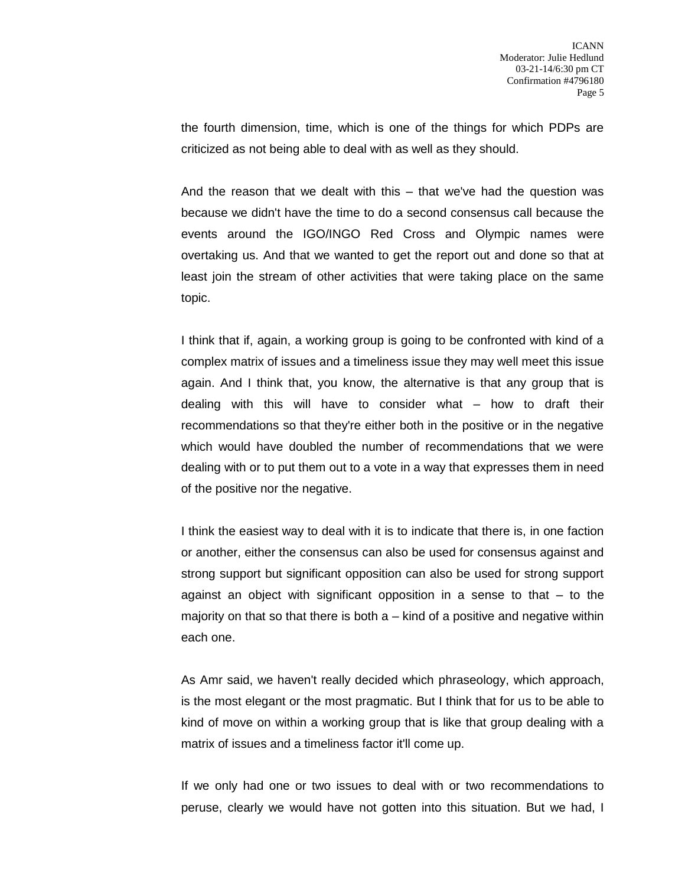the fourth dimension, time, which is one of the things for which PDPs are criticized as not being able to deal with as well as they should.

And the reason that we dealt with this – that we've had the question was because we didn't have the time to do a second consensus call because the events around the IGO/INGO Red Cross and Olympic names were overtaking us. And that we wanted to get the report out and done so that at least join the stream of other activities that were taking place on the same topic.

I think that if, again, a working group is going to be confronted with kind of a complex matrix of issues and a timeliness issue they may well meet this issue again. And I think that, you know, the alternative is that any group that is dealing with this will have to consider what – how to draft their recommendations so that they're either both in the positive or in the negative which would have doubled the number of recommendations that we were dealing with or to put them out to a vote in a way that expresses them in need of the positive nor the negative.

I think the easiest way to deal with it is to indicate that there is, in one faction or another, either the consensus can also be used for consensus against and strong support but significant opposition can also be used for strong support against an object with significant opposition in a sense to that – to the majority on that so that there is both  $a -$  kind of a positive and negative within each one.

As Amr said, we haven't really decided which phraseology, which approach, is the most elegant or the most pragmatic. But I think that for us to be able to kind of move on within a working group that is like that group dealing with a matrix of issues and a timeliness factor it'll come up.

If we only had one or two issues to deal with or two recommendations to peruse, clearly we would have not gotten into this situation. But we had, I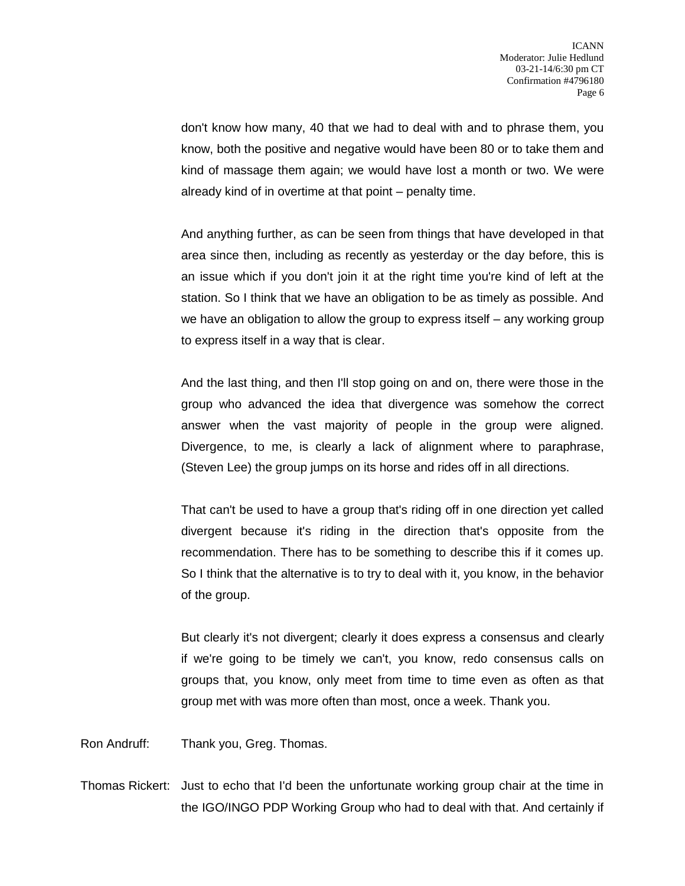don't know how many, 40 that we had to deal with and to phrase them, you know, both the positive and negative would have been 80 or to take them and kind of massage them again; we would have lost a month or two. We were already kind of in overtime at that point – penalty time.

And anything further, as can be seen from things that have developed in that area since then, including as recently as yesterday or the day before, this is an issue which if you don't join it at the right time you're kind of left at the station. So I think that we have an obligation to be as timely as possible. And we have an obligation to allow the group to express itself – any working group to express itself in a way that is clear.

And the last thing, and then I'll stop going on and on, there were those in the group who advanced the idea that divergence was somehow the correct answer when the vast majority of people in the group were aligned. Divergence, to me, is clearly a lack of alignment where to paraphrase, (Steven Lee) the group jumps on its horse and rides off in all directions.

That can't be used to have a group that's riding off in one direction yet called divergent because it's riding in the direction that's opposite from the recommendation. There has to be something to describe this if it comes up. So I think that the alternative is to try to deal with it, you know, in the behavior of the group.

But clearly it's not divergent; clearly it does express a consensus and clearly if we're going to be timely we can't, you know, redo consensus calls on groups that, you know, only meet from time to time even as often as that group met with was more often than most, once a week. Thank you.

Ron Andruff: Thank you, Greg. Thomas.

Thomas Rickert: Just to echo that I'd been the unfortunate working group chair at the time in the IGO/INGO PDP Working Group who had to deal with that. And certainly if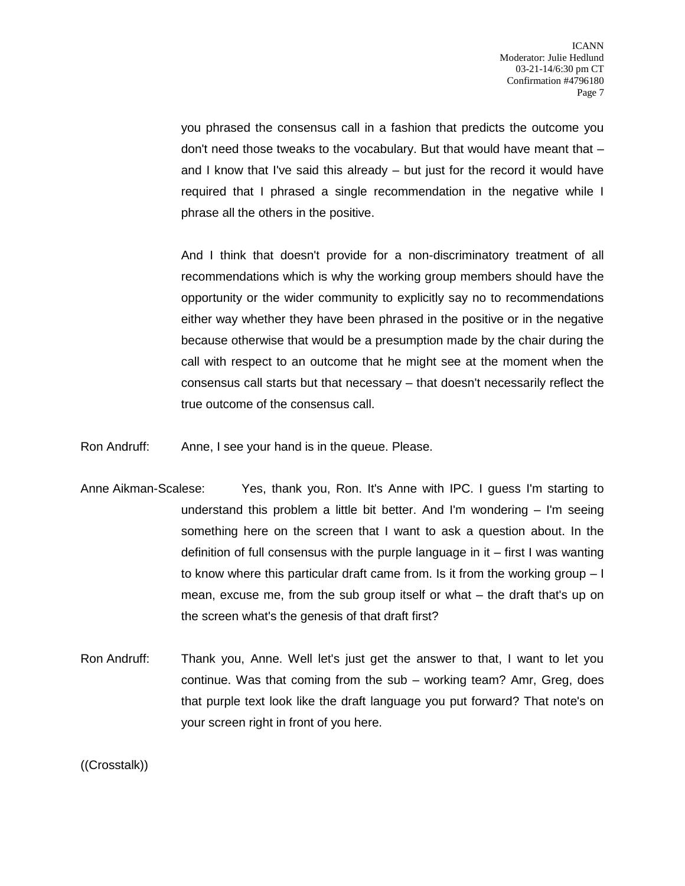you phrased the consensus call in a fashion that predicts the outcome you don't need those tweaks to the vocabulary. But that would have meant that – and I know that I've said this already – but just for the record it would have required that I phrased a single recommendation in the negative while I phrase all the others in the positive.

And I think that doesn't provide for a non-discriminatory treatment of all recommendations which is why the working group members should have the opportunity or the wider community to explicitly say no to recommendations either way whether they have been phrased in the positive or in the negative because otherwise that would be a presumption made by the chair during the call with respect to an outcome that he might see at the moment when the consensus call starts but that necessary – that doesn't necessarily reflect the true outcome of the consensus call.

Ron Andruff: Anne, I see your hand is in the queue. Please.

- Anne Aikman-Scalese: Yes, thank you, Ron. It's Anne with IPC. I guess I'm starting to understand this problem a little bit better. And I'm wondering – I'm seeing something here on the screen that I want to ask a question about. In the definition of full consensus with the purple language in it – first I was wanting to know where this particular draft came from. Is it from the working group – I mean, excuse me, from the sub group itself or what – the draft that's up on the screen what's the genesis of that draft first?
- Ron Andruff: Thank you, Anne. Well let's just get the answer to that, I want to let you continue. Was that coming from the sub – working team? Amr, Greg, does that purple text look like the draft language you put forward? That note's on your screen right in front of you here.

((Crosstalk))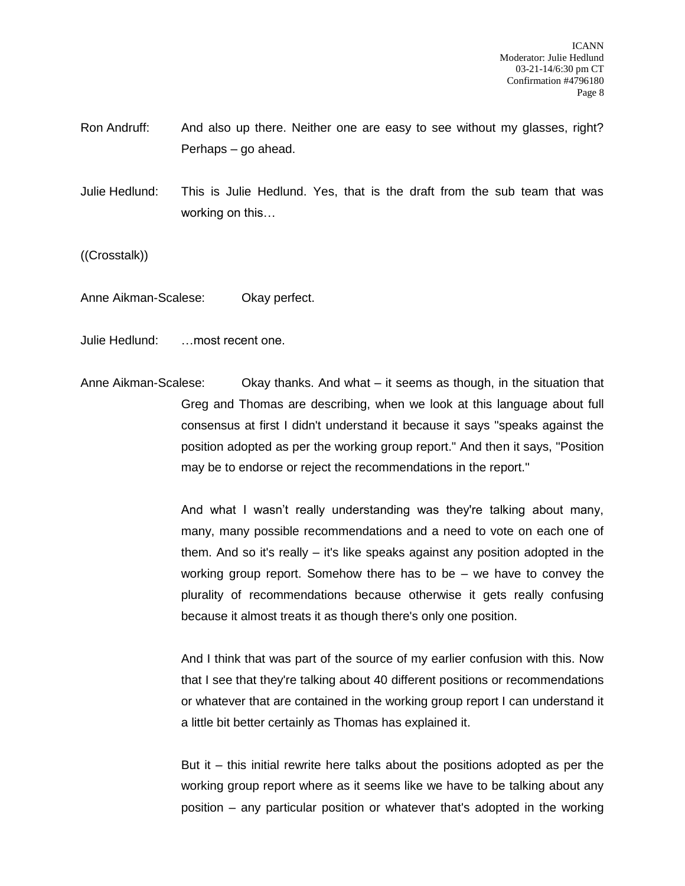- Ron Andruff: And also up there. Neither one are easy to see without my glasses, right? Perhaps – go ahead.
- Julie Hedlund: This is Julie Hedlund. Yes, that is the draft from the sub team that was working on this…

((Crosstalk))

Anne Aikman-Scalese: Okay perfect.

Julie Hedlund: …most recent one.

Anne Aikman-Scalese: Okay thanks. And what – it seems as though, in the situation that Greg and Thomas are describing, when we look at this language about full consensus at first I didn't understand it because it says "speaks against the position adopted as per the working group report." And then it says, "Position may be to endorse or reject the recommendations in the report."

> And what I wasn't really understanding was they're talking about many, many, many possible recommendations and a need to vote on each one of them. And so it's really – it's like speaks against any position adopted in the working group report. Somehow there has to be – we have to convey the plurality of recommendations because otherwise it gets really confusing because it almost treats it as though there's only one position.

> And I think that was part of the source of my earlier confusion with this. Now that I see that they're talking about 40 different positions or recommendations or whatever that are contained in the working group report I can understand it a little bit better certainly as Thomas has explained it.

> But it – this initial rewrite here talks about the positions adopted as per the working group report where as it seems like we have to be talking about any position – any particular position or whatever that's adopted in the working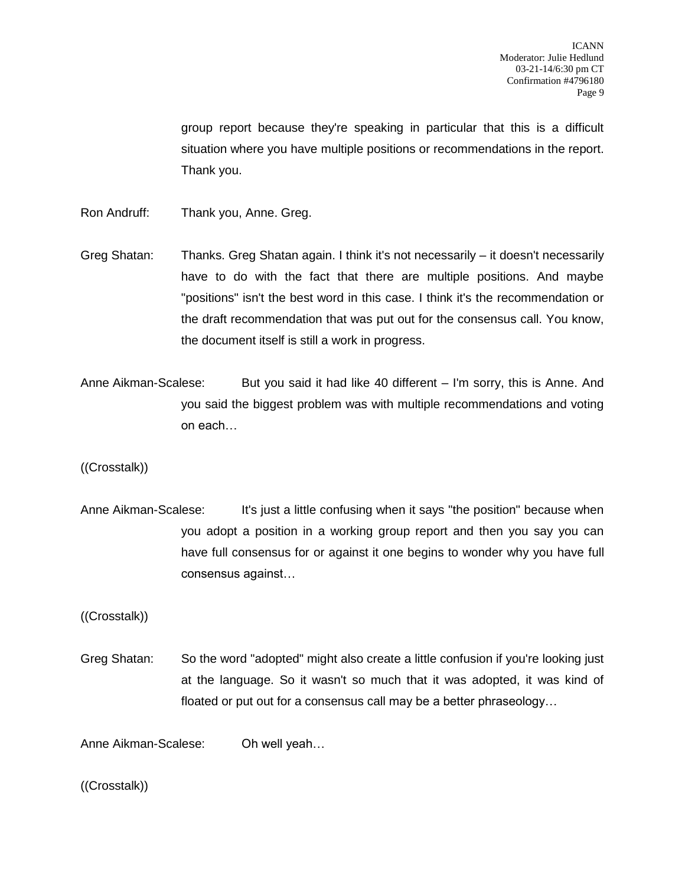group report because they're speaking in particular that this is a difficult situation where you have multiple positions or recommendations in the report. Thank you.

- Ron Andruff: Thank you, Anne. Greg.
- Greg Shatan: Thanks. Greg Shatan again. I think it's not necessarily it doesn't necessarily have to do with the fact that there are multiple positions. And maybe "positions" isn't the best word in this case. I think it's the recommendation or the draft recommendation that was put out for the consensus call. You know, the document itself is still a work in progress.
- Anne Aikman-Scalese: But you said it had like 40 different I'm sorry, this is Anne. And you said the biggest problem was with multiple recommendations and voting on each…

((Crosstalk))

Anne Aikman-Scalese: It's just a little confusing when it says "the position" because when you adopt a position in a working group report and then you say you can have full consensus for or against it one begins to wonder why you have full consensus against…

((Crosstalk))

Greg Shatan: So the word "adopted" might also create a little confusion if you're looking just at the language. So it wasn't so much that it was adopted, it was kind of floated or put out for a consensus call may be a better phraseology…

Anne Aikman-Scalese: Oh well yeah…

((Crosstalk))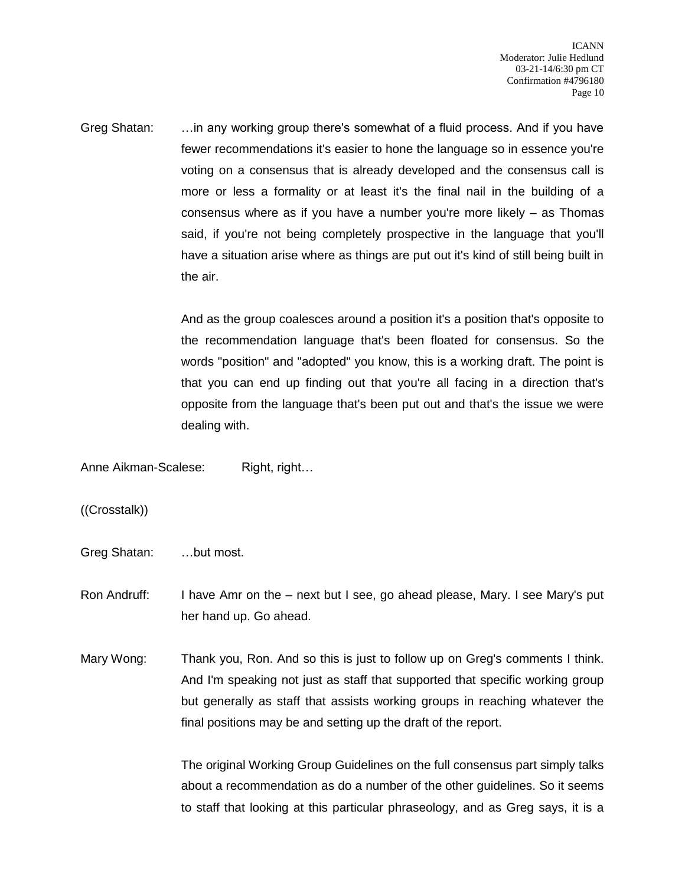Greg Shatan: …in any working group there's somewhat of a fluid process. And if you have fewer recommendations it's easier to hone the language so in essence you're voting on a consensus that is already developed and the consensus call is more or less a formality or at least it's the final nail in the building of a consensus where as if you have a number you're more likely – as Thomas said, if you're not being completely prospective in the language that you'll have a situation arise where as things are put out it's kind of still being built in the air.

> And as the group coalesces around a position it's a position that's opposite to the recommendation language that's been floated for consensus. So the words "position" and "adopted" you know, this is a working draft. The point is that you can end up finding out that you're all facing in a direction that's opposite from the language that's been put out and that's the issue we were dealing with.

Anne Aikman-Scalese: Right, right...

((Crosstalk))

Greg Shatan: …but most.

Ron Andruff: I have Amr on the – next but I see, go ahead please, Mary. I see Mary's put her hand up. Go ahead.

Mary Wong: Thank you, Ron. And so this is just to follow up on Greg's comments I think. And I'm speaking not just as staff that supported that specific working group but generally as staff that assists working groups in reaching whatever the final positions may be and setting up the draft of the report.

> The original Working Group Guidelines on the full consensus part simply talks about a recommendation as do a number of the other guidelines. So it seems to staff that looking at this particular phraseology, and as Greg says, it is a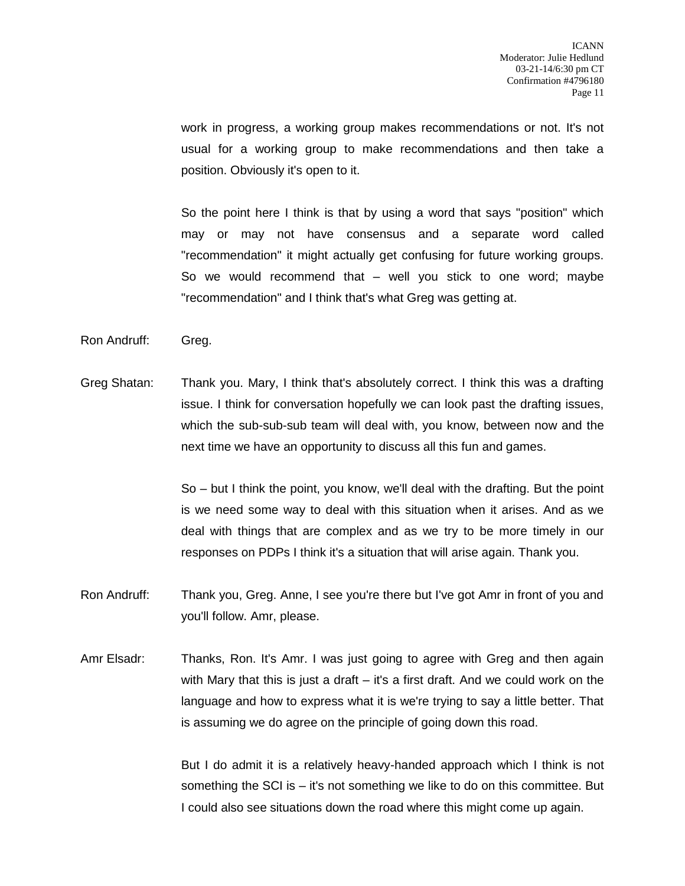work in progress, a working group makes recommendations or not. It's not usual for a working group to make recommendations and then take a position. Obviously it's open to it.

So the point here I think is that by using a word that says "position" which may or may not have consensus and a separate word called "recommendation" it might actually get confusing for future working groups. So we would recommend that – well you stick to one word; maybe "recommendation" and I think that's what Greg was getting at.

- Ron Andruff: Greg.
- Greg Shatan: Thank you. Mary, I think that's absolutely correct. I think this was a drafting issue. I think for conversation hopefully we can look past the drafting issues, which the sub-sub-sub team will deal with, you know, between now and the next time we have an opportunity to discuss all this fun and games.

So – but I think the point, you know, we'll deal with the drafting. But the point is we need some way to deal with this situation when it arises. And as we deal with things that are complex and as we try to be more timely in our responses on PDPs I think it's a situation that will arise again. Thank you.

- Ron Andruff: Thank you, Greg. Anne, I see you're there but I've got Amr in front of you and you'll follow. Amr, please.
- Amr Elsadr: Thanks, Ron. It's Amr. I was just going to agree with Greg and then again with Mary that this is just a draft  $-$  it's a first draft. And we could work on the language and how to express what it is we're trying to say a little better. That is assuming we do agree on the principle of going down this road.

But I do admit it is a relatively heavy-handed approach which I think is not something the SCI is – it's not something we like to do on this committee. But I could also see situations down the road where this might come up again.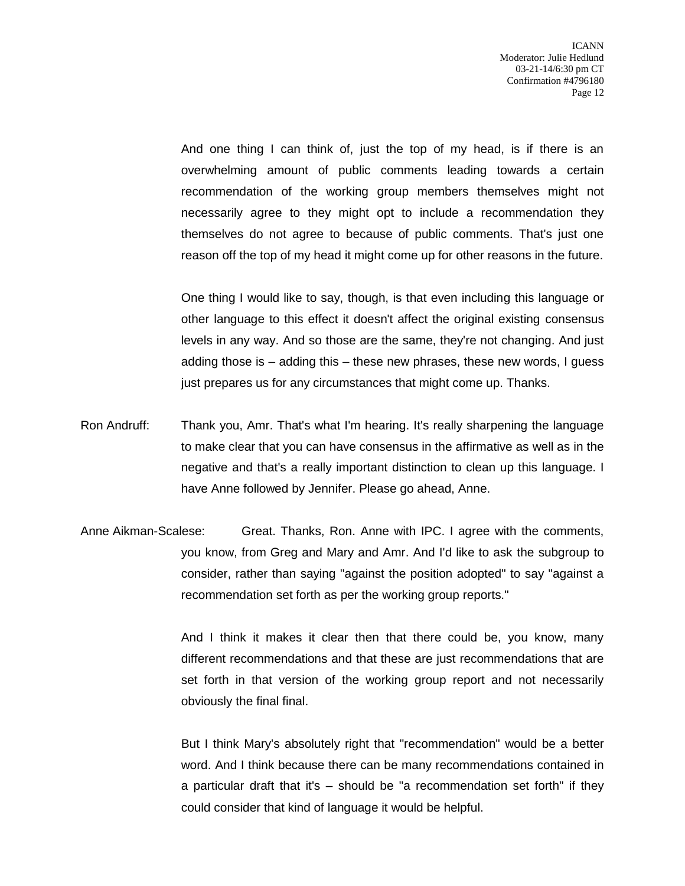And one thing I can think of, just the top of my head, is if there is an overwhelming amount of public comments leading towards a certain recommendation of the working group members themselves might not necessarily agree to they might opt to include a recommendation they themselves do not agree to because of public comments. That's just one reason off the top of my head it might come up for other reasons in the future.

One thing I would like to say, though, is that even including this language or other language to this effect it doesn't affect the original existing consensus levels in any way. And so those are the same, they're not changing. And just adding those is – adding this – these new phrases, these new words, I guess just prepares us for any circumstances that might come up. Thanks.

- Ron Andruff: Thank you, Amr. That's what I'm hearing. It's really sharpening the language to make clear that you can have consensus in the affirmative as well as in the negative and that's a really important distinction to clean up this language. I have Anne followed by Jennifer. Please go ahead, Anne.
- Anne Aikman-Scalese: Great. Thanks, Ron. Anne with IPC. I agree with the comments, you know, from Greg and Mary and Amr. And I'd like to ask the subgroup to consider, rather than saying "against the position adopted" to say "against a recommendation set forth as per the working group reports."

And I think it makes it clear then that there could be, you know, many different recommendations and that these are just recommendations that are set forth in that version of the working group report and not necessarily obviously the final final.

But I think Mary's absolutely right that "recommendation" would be a better word. And I think because there can be many recommendations contained in a particular draft that it's – should be "a recommendation set forth" if they could consider that kind of language it would be helpful.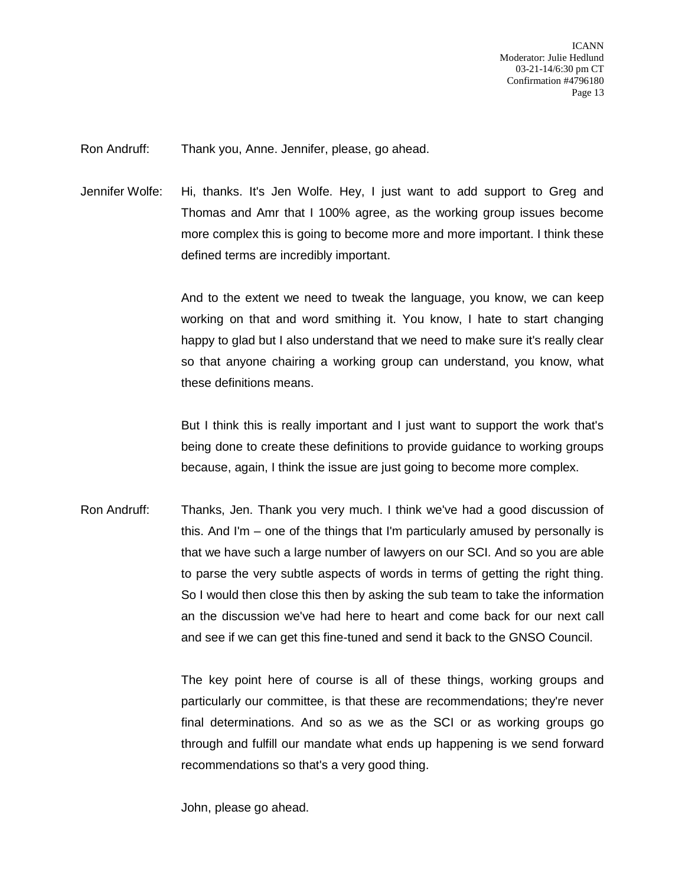Ron Andruff: Thank you, Anne. Jennifer, please, go ahead.

Jennifer Wolfe: Hi, thanks. It's Jen Wolfe. Hey, I just want to add support to Greg and Thomas and Amr that I 100% agree, as the working group issues become more complex this is going to become more and more important. I think these defined terms are incredibly important.

> And to the extent we need to tweak the language, you know, we can keep working on that and word smithing it. You know, I hate to start changing happy to glad but I also understand that we need to make sure it's really clear so that anyone chairing a working group can understand, you know, what these definitions means.

> But I think this is really important and I just want to support the work that's being done to create these definitions to provide guidance to working groups because, again, I think the issue are just going to become more complex.

Ron Andruff: Thanks, Jen. Thank you very much. I think we've had a good discussion of this. And I'm – one of the things that I'm particularly amused by personally is that we have such a large number of lawyers on our SCI. And so you are able to parse the very subtle aspects of words in terms of getting the right thing. So I would then close this then by asking the sub team to take the information an the discussion we've had here to heart and come back for our next call and see if we can get this fine-tuned and send it back to the GNSO Council.

> The key point here of course is all of these things, working groups and particularly our committee, is that these are recommendations; they're never final determinations. And so as we as the SCI or as working groups go through and fulfill our mandate what ends up happening is we send forward recommendations so that's a very good thing.

John, please go ahead.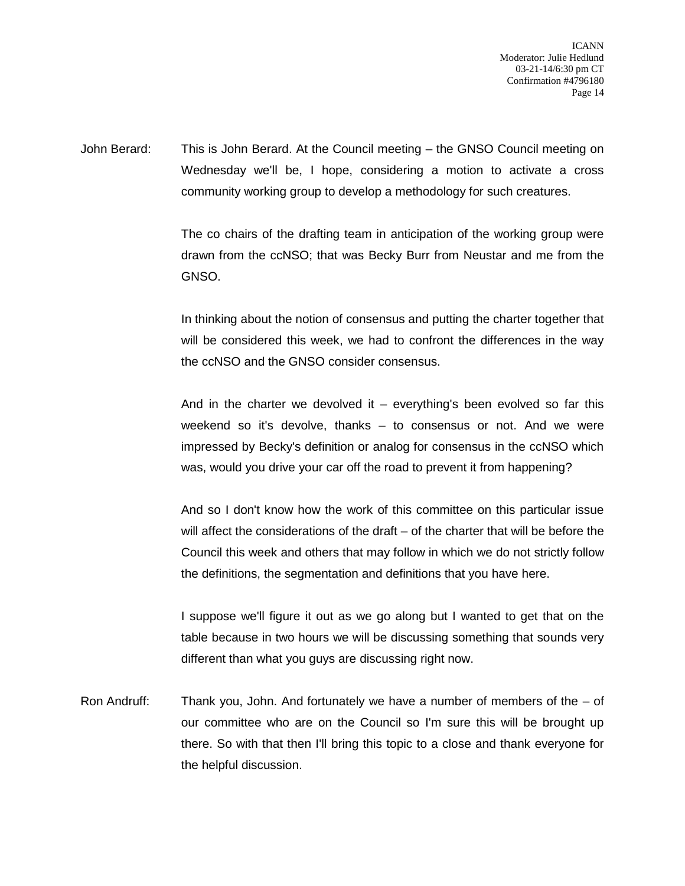ICANN Moderator: Julie Hedlund 03-21-14/6:30 pm CT Confirmation #4796180 Page 14

John Berard: This is John Berard. At the Council meeting – the GNSO Council meeting on Wednesday we'll be, I hope, considering a motion to activate a cross community working group to develop a methodology for such creatures.

> The co chairs of the drafting team in anticipation of the working group were drawn from the ccNSO; that was Becky Burr from Neustar and me from the GNSO.

> In thinking about the notion of consensus and putting the charter together that will be considered this week, we had to confront the differences in the way the ccNSO and the GNSO consider consensus.

> And in the charter we devolved it  $-$  everything's been evolved so far this weekend so it's devolve, thanks – to consensus or not. And we were impressed by Becky's definition or analog for consensus in the ccNSO which was, would you drive your car off the road to prevent it from happening?

> And so I don't know how the work of this committee on this particular issue will affect the considerations of the draft – of the charter that will be before the Council this week and others that may follow in which we do not strictly follow the definitions, the segmentation and definitions that you have here.

> I suppose we'll figure it out as we go along but I wanted to get that on the table because in two hours we will be discussing something that sounds very different than what you guys are discussing right now.

Ron Andruff: Thank you, John. And fortunately we have a number of members of the – of our committee who are on the Council so I'm sure this will be brought up there. So with that then I'll bring this topic to a close and thank everyone for the helpful discussion.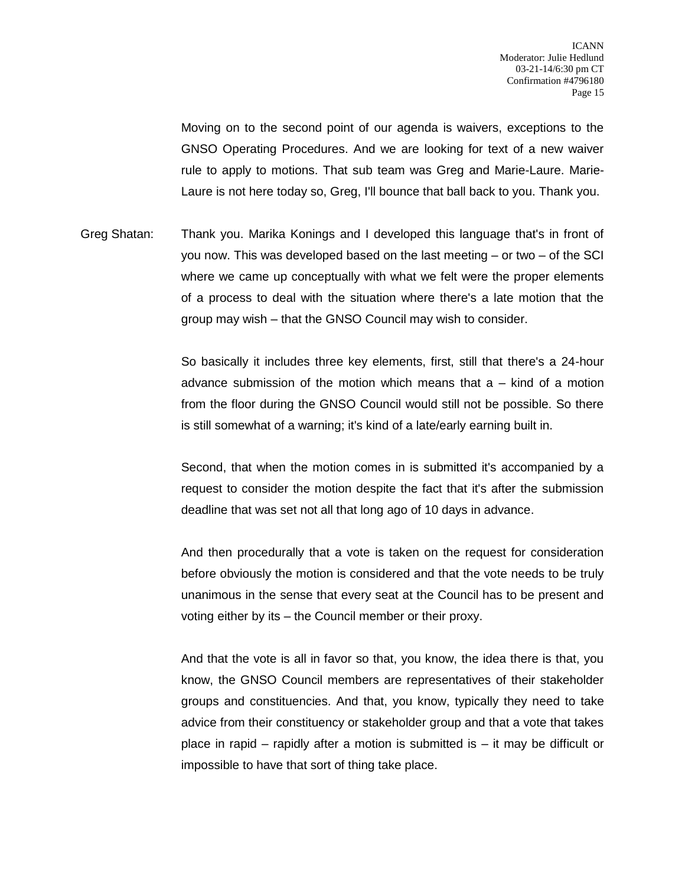Moving on to the second point of our agenda is waivers, exceptions to the GNSO Operating Procedures. And we are looking for text of a new waiver rule to apply to motions. That sub team was Greg and Marie-Laure. Marie-Laure is not here today so, Greg, I'll bounce that ball back to you. Thank you.

Greg Shatan: Thank you. Marika Konings and I developed this language that's in front of you now. This was developed based on the last meeting – or two – of the SCI where we came up conceptually with what we felt were the proper elements of a process to deal with the situation where there's a late motion that the group may wish – that the GNSO Council may wish to consider.

> So basically it includes three key elements, first, still that there's a 24-hour advance submission of the motion which means that a – kind of a motion from the floor during the GNSO Council would still not be possible. So there is still somewhat of a warning; it's kind of a late/early earning built in.

> Second, that when the motion comes in is submitted it's accompanied by a request to consider the motion despite the fact that it's after the submission deadline that was set not all that long ago of 10 days in advance.

> And then procedurally that a vote is taken on the request for consideration before obviously the motion is considered and that the vote needs to be truly unanimous in the sense that every seat at the Council has to be present and voting either by its – the Council member or their proxy.

> And that the vote is all in favor so that, you know, the idea there is that, you know, the GNSO Council members are representatives of their stakeholder groups and constituencies. And that, you know, typically they need to take advice from their constituency or stakeholder group and that a vote that takes place in rapid – rapidly after a motion is submitted is – it may be difficult or impossible to have that sort of thing take place.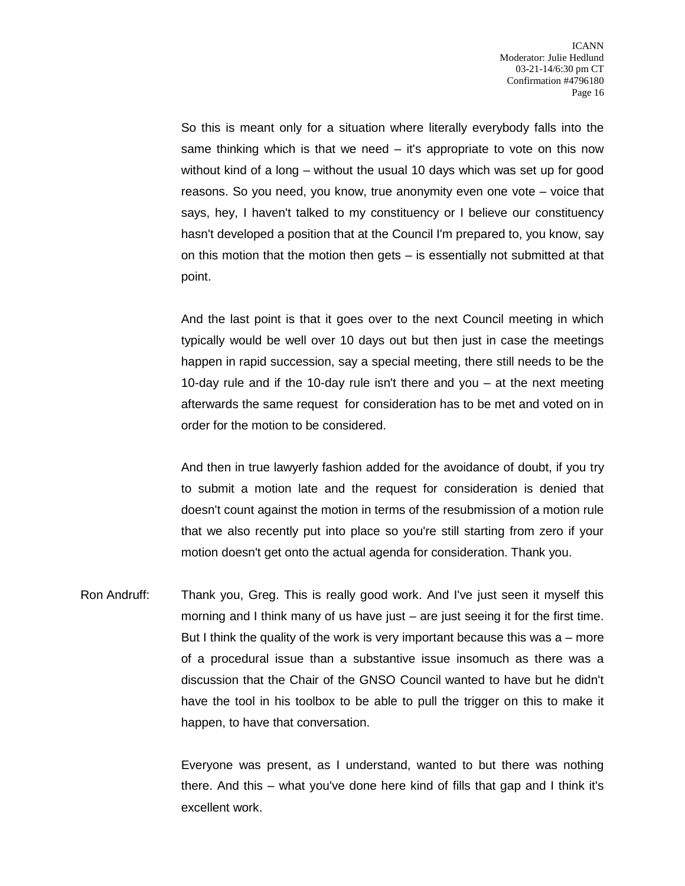So this is meant only for a situation where literally everybody falls into the same thinking which is that we need – it's appropriate to vote on this now without kind of a long – without the usual 10 days which was set up for good reasons. So you need, you know, true anonymity even one vote – voice that says, hey, I haven't talked to my constituency or I believe our constituency hasn't developed a position that at the Council I'm prepared to, you know, say on this motion that the motion then gets – is essentially not submitted at that point.

And the last point is that it goes over to the next Council meeting in which typically would be well over 10 days out but then just in case the meetings happen in rapid succession, say a special meeting, there still needs to be the 10-day rule and if the 10-day rule isn't there and you – at the next meeting afterwards the same request for consideration has to be met and voted on in order for the motion to be considered.

And then in true lawyerly fashion added for the avoidance of doubt, if you try to submit a motion late and the request for consideration is denied that doesn't count against the motion in terms of the resubmission of a motion rule that we also recently put into place so you're still starting from zero if your motion doesn't get onto the actual agenda for consideration. Thank you.

Ron Andruff: Thank you, Greg. This is really good work. And I've just seen it myself this morning and I think many of us have just – are just seeing it for the first time. But I think the quality of the work is very important because this was a – more of a procedural issue than a substantive issue insomuch as there was a discussion that the Chair of the GNSO Council wanted to have but he didn't have the tool in his toolbox to be able to pull the trigger on this to make it happen, to have that conversation.

> Everyone was present, as I understand, wanted to but there was nothing there. And this – what you've done here kind of fills that gap and I think it's excellent work.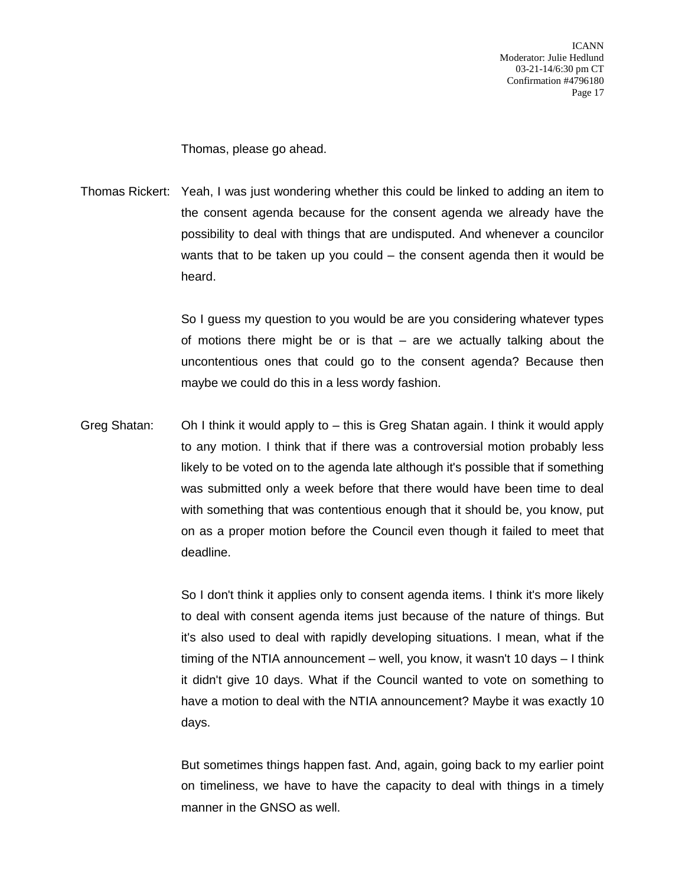Thomas, please go ahead.

Thomas Rickert: Yeah, I was just wondering whether this could be linked to adding an item to the consent agenda because for the consent agenda we already have the possibility to deal with things that are undisputed. And whenever a councilor wants that to be taken up you could – the consent agenda then it would be heard.

> So I guess my question to you would be are you considering whatever types of motions there might be or is that – are we actually talking about the uncontentious ones that could go to the consent agenda? Because then maybe we could do this in a less wordy fashion.

Greg Shatan: Oh I think it would apply to – this is Greg Shatan again. I think it would apply to any motion. I think that if there was a controversial motion probably less likely to be voted on to the agenda late although it's possible that if something was submitted only a week before that there would have been time to deal with something that was contentious enough that it should be, you know, put on as a proper motion before the Council even though it failed to meet that deadline.

> So I don't think it applies only to consent agenda items. I think it's more likely to deal with consent agenda items just because of the nature of things. But it's also used to deal with rapidly developing situations. I mean, what if the timing of the NTIA announcement – well, you know, it wasn't 10 days – I think it didn't give 10 days. What if the Council wanted to vote on something to have a motion to deal with the NTIA announcement? Maybe it was exactly 10 days.

> But sometimes things happen fast. And, again, going back to my earlier point on timeliness, we have to have the capacity to deal with things in a timely manner in the GNSO as well.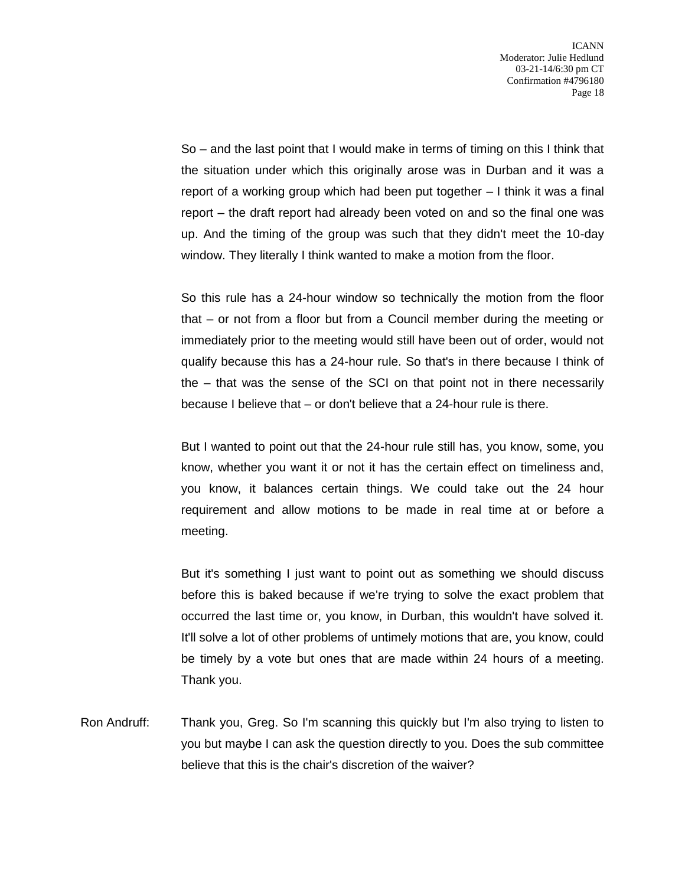So – and the last point that I would make in terms of timing on this I think that the situation under which this originally arose was in Durban and it was a report of a working group which had been put together – I think it was a final report – the draft report had already been voted on and so the final one was up. And the timing of the group was such that they didn't meet the 10-day window. They literally I think wanted to make a motion from the floor.

So this rule has a 24-hour window so technically the motion from the floor that – or not from a floor but from a Council member during the meeting or immediately prior to the meeting would still have been out of order, would not qualify because this has a 24-hour rule. So that's in there because I think of the – that was the sense of the SCI on that point not in there necessarily because I believe that – or don't believe that a 24-hour rule is there.

But I wanted to point out that the 24-hour rule still has, you know, some, you know, whether you want it or not it has the certain effect on timeliness and, you know, it balances certain things. We could take out the 24 hour requirement and allow motions to be made in real time at or before a meeting.

But it's something I just want to point out as something we should discuss before this is baked because if we're trying to solve the exact problem that occurred the last time or, you know, in Durban, this wouldn't have solved it. It'll solve a lot of other problems of untimely motions that are, you know, could be timely by a vote but ones that are made within 24 hours of a meeting. Thank you.

Ron Andruff: Thank you, Greg. So I'm scanning this quickly but I'm also trying to listen to you but maybe I can ask the question directly to you. Does the sub committee believe that this is the chair's discretion of the waiver?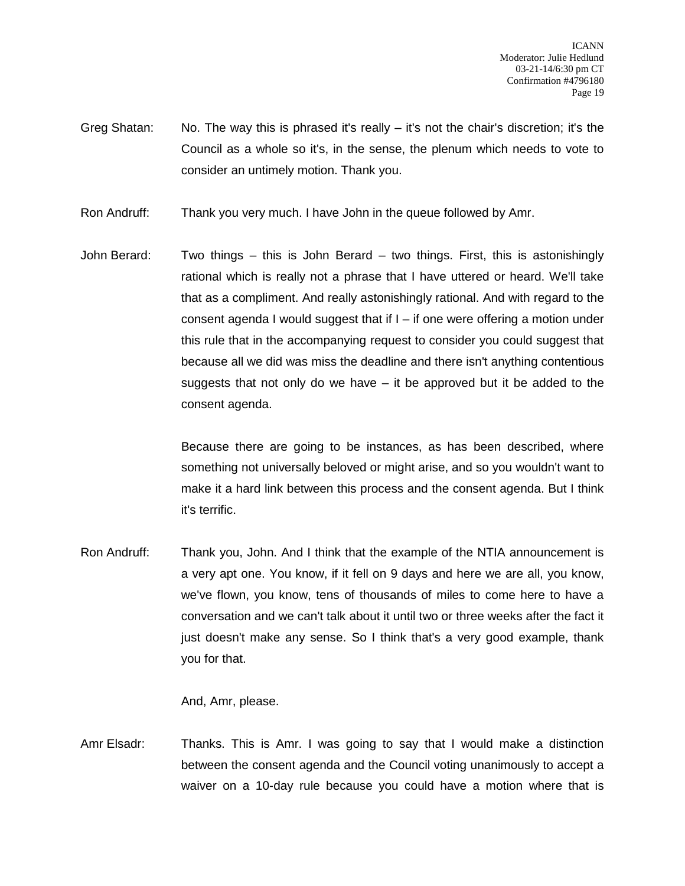- Greg Shatan: No. The way this is phrased it's really it's not the chair's discretion; it's the Council as a whole so it's, in the sense, the plenum which needs to vote to consider an untimely motion. Thank you.
- Ron Andruff: Thank you very much. I have John in the queue followed by Amr.
- John Berard: Two things this is John Berard two things. First, this is astonishingly rational which is really not a phrase that I have uttered or heard. We'll take that as a compliment. And really astonishingly rational. And with regard to the consent agenda I would suggest that if  $I -$  if one were offering a motion under this rule that in the accompanying request to consider you could suggest that because all we did was miss the deadline and there isn't anything contentious suggests that not only do we have – it be approved but it be added to the consent agenda.

Because there are going to be instances, as has been described, where something not universally beloved or might arise, and so you wouldn't want to make it a hard link between this process and the consent agenda. But I think it's terrific.

Ron Andruff: Thank you, John. And I think that the example of the NTIA announcement is a very apt one. You know, if it fell on 9 days and here we are all, you know, we've flown, you know, tens of thousands of miles to come here to have a conversation and we can't talk about it until two or three weeks after the fact it just doesn't make any sense. So I think that's a very good example, thank you for that.

And, Amr, please.

Amr Elsadr: Thanks. This is Amr. I was going to say that I would make a distinction between the consent agenda and the Council voting unanimously to accept a waiver on a 10-day rule because you could have a motion where that is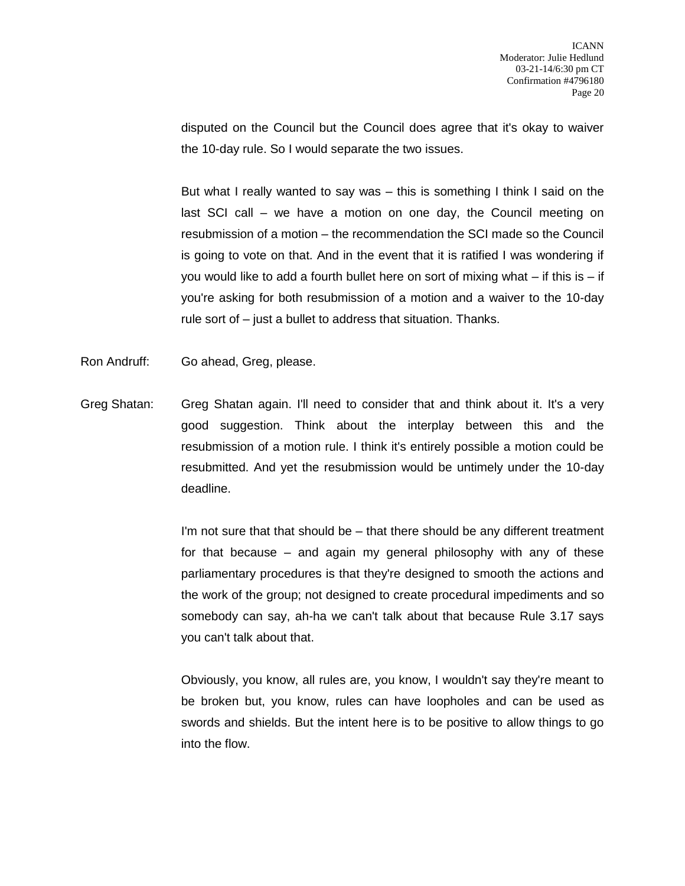disputed on the Council but the Council does agree that it's okay to waiver the 10-day rule. So I would separate the two issues.

But what I really wanted to say was – this is something I think I said on the last SCI call – we have a motion on one day, the Council meeting on resubmission of a motion – the recommendation the SCI made so the Council is going to vote on that. And in the event that it is ratified I was wondering if you would like to add a fourth bullet here on sort of mixing what  $-$  if this is  $-$  if you're asking for both resubmission of a motion and a waiver to the 10-day rule sort of – just a bullet to address that situation. Thanks.

- Ron Andruff: Go ahead, Greg, please.
- Greg Shatan: Greg Shatan again. I'll need to consider that and think about it. It's a very good suggestion. Think about the interplay between this and the resubmission of a motion rule. I think it's entirely possible a motion could be resubmitted. And yet the resubmission would be untimely under the 10-day deadline.

I'm not sure that that should be – that there should be any different treatment for that because – and again my general philosophy with any of these parliamentary procedures is that they're designed to smooth the actions and the work of the group; not designed to create procedural impediments and so somebody can say, ah-ha we can't talk about that because Rule 3.17 says you can't talk about that.

Obviously, you know, all rules are, you know, I wouldn't say they're meant to be broken but, you know, rules can have loopholes and can be used as swords and shields. But the intent here is to be positive to allow things to go into the flow.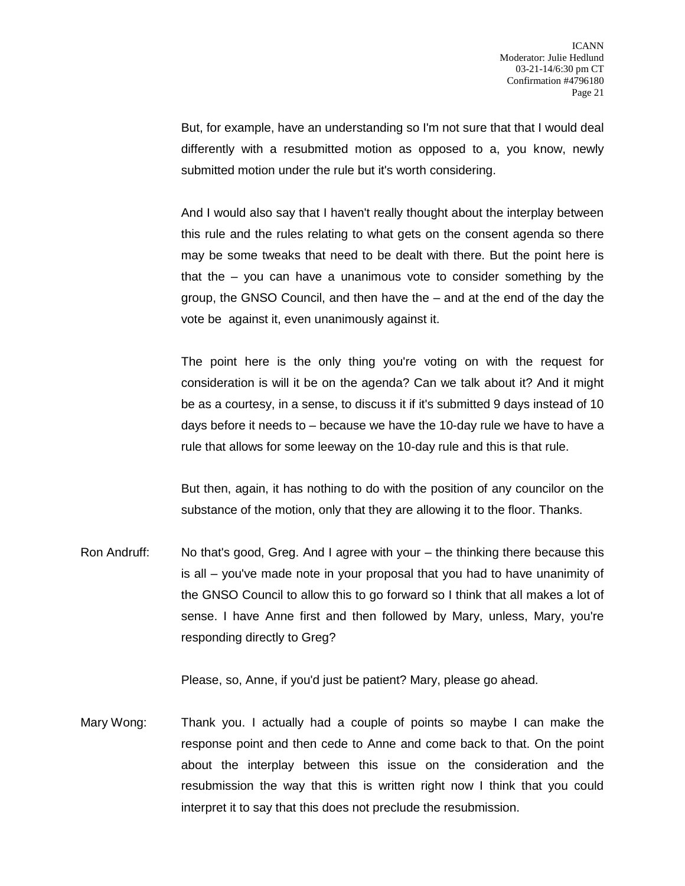But, for example, have an understanding so I'm not sure that that I would deal differently with a resubmitted motion as opposed to a, you know, newly submitted motion under the rule but it's worth considering.

And I would also say that I haven't really thought about the interplay between this rule and the rules relating to what gets on the consent agenda so there may be some tweaks that need to be dealt with there. But the point here is that the – you can have a unanimous vote to consider something by the group, the GNSO Council, and then have the – and at the end of the day the vote be against it, even unanimously against it.

The point here is the only thing you're voting on with the request for consideration is will it be on the agenda? Can we talk about it? And it might be as a courtesy, in a sense, to discuss it if it's submitted 9 days instead of 10 days before it needs to – because we have the 10-day rule we have to have a rule that allows for some leeway on the 10-day rule and this is that rule.

But then, again, it has nothing to do with the position of any councilor on the substance of the motion, only that they are allowing it to the floor. Thanks.

Ron Andruff: No that's good, Greg. And I agree with your – the thinking there because this is all – you've made note in your proposal that you had to have unanimity of the GNSO Council to allow this to go forward so I think that all makes a lot of sense. I have Anne first and then followed by Mary, unless, Mary, you're responding directly to Greg?

Please, so, Anne, if you'd just be patient? Mary, please go ahead.

Mary Wong: Thank you. I actually had a couple of points so maybe I can make the response point and then cede to Anne and come back to that. On the point about the interplay between this issue on the consideration and the resubmission the way that this is written right now I think that you could interpret it to say that this does not preclude the resubmission.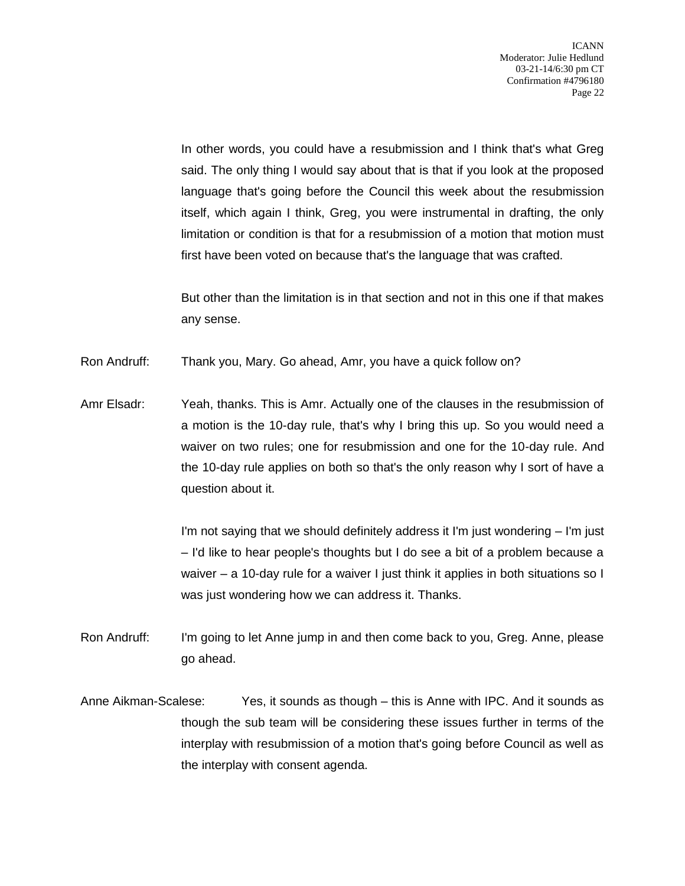In other words, you could have a resubmission and I think that's what Greg said. The only thing I would say about that is that if you look at the proposed language that's going before the Council this week about the resubmission itself, which again I think, Greg, you were instrumental in drafting, the only limitation or condition is that for a resubmission of a motion that motion must first have been voted on because that's the language that was crafted.

But other than the limitation is in that section and not in this one if that makes any sense.

Ron Andruff: Thank you, Mary. Go ahead, Amr, you have a quick follow on?

Amr Elsadr: Yeah, thanks. This is Amr. Actually one of the clauses in the resubmission of a motion is the 10-day rule, that's why I bring this up. So you would need a waiver on two rules; one for resubmission and one for the 10-day rule. And the 10-day rule applies on both so that's the only reason why I sort of have a question about it.

> I'm not saying that we should definitely address it I'm just wondering – I'm just – I'd like to hear people's thoughts but I do see a bit of a problem because a waiver – a 10-day rule for a waiver I just think it applies in both situations so I was just wondering how we can address it. Thanks.

- Ron Andruff: I'm going to let Anne jump in and then come back to you, Greg. Anne, please go ahead.
- Anne Aikman-Scalese: Yes, it sounds as though this is Anne with IPC. And it sounds as though the sub team will be considering these issues further in terms of the interplay with resubmission of a motion that's going before Council as well as the interplay with consent agenda.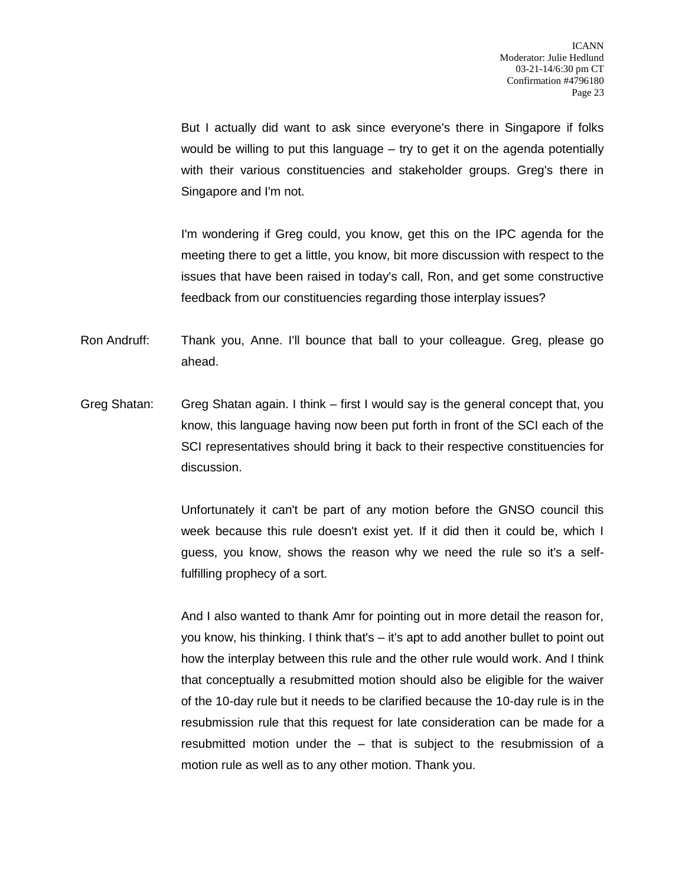But I actually did want to ask since everyone's there in Singapore if folks would be willing to put this language – try to get it on the agenda potentially with their various constituencies and stakeholder groups. Greg's there in Singapore and I'm not.

I'm wondering if Greg could, you know, get this on the IPC agenda for the meeting there to get a little, you know, bit more discussion with respect to the issues that have been raised in today's call, Ron, and get some constructive feedback from our constituencies regarding those interplay issues?

Ron Andruff: Thank you, Anne. I'll bounce that ball to your colleague. Greg, please go ahead.

Greg Shatan: Greg Shatan again. I think – first I would say is the general concept that, you know, this language having now been put forth in front of the SCI each of the SCI representatives should bring it back to their respective constituencies for discussion.

> Unfortunately it can't be part of any motion before the GNSO council this week because this rule doesn't exist yet. If it did then it could be, which I guess, you know, shows the reason why we need the rule so it's a selffulfilling prophecy of a sort.

> And I also wanted to thank Amr for pointing out in more detail the reason for, you know, his thinking. I think that's – it's apt to add another bullet to point out how the interplay between this rule and the other rule would work. And I think that conceptually a resubmitted motion should also be eligible for the waiver of the 10-day rule but it needs to be clarified because the 10-day rule is in the resubmission rule that this request for late consideration can be made for a resubmitted motion under the – that is subject to the resubmission of a motion rule as well as to any other motion. Thank you.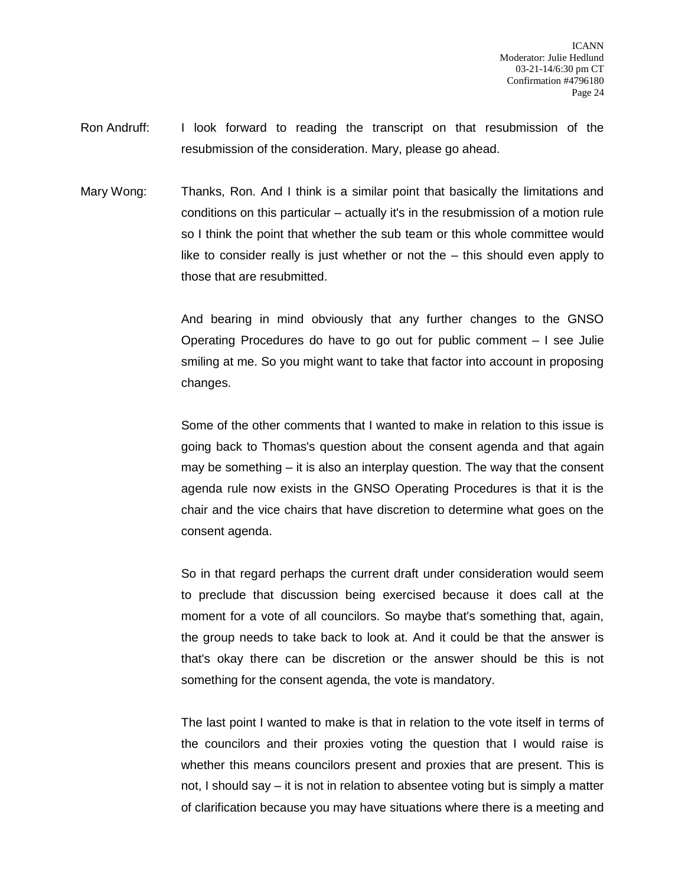- Ron Andruff: I look forward to reading the transcript on that resubmission of the resubmission of the consideration. Mary, please go ahead.
- Mary Wong: Thanks, Ron. And I think is a similar point that basically the limitations and conditions on this particular – actually it's in the resubmission of a motion rule so I think the point that whether the sub team or this whole committee would like to consider really is just whether or not the – this should even apply to those that are resubmitted.

And bearing in mind obviously that any further changes to the GNSO Operating Procedures do have to go out for public comment – I see Julie smiling at me. So you might want to take that factor into account in proposing changes.

Some of the other comments that I wanted to make in relation to this issue is going back to Thomas's question about the consent agenda and that again may be something – it is also an interplay question. The way that the consent agenda rule now exists in the GNSO Operating Procedures is that it is the chair and the vice chairs that have discretion to determine what goes on the consent agenda.

So in that regard perhaps the current draft under consideration would seem to preclude that discussion being exercised because it does call at the moment for a vote of all councilors. So maybe that's something that, again, the group needs to take back to look at. And it could be that the answer is that's okay there can be discretion or the answer should be this is not something for the consent agenda, the vote is mandatory.

The last point I wanted to make is that in relation to the vote itself in terms of the councilors and their proxies voting the question that I would raise is whether this means councilors present and proxies that are present. This is not, I should say – it is not in relation to absentee voting but is simply a matter of clarification because you may have situations where there is a meeting and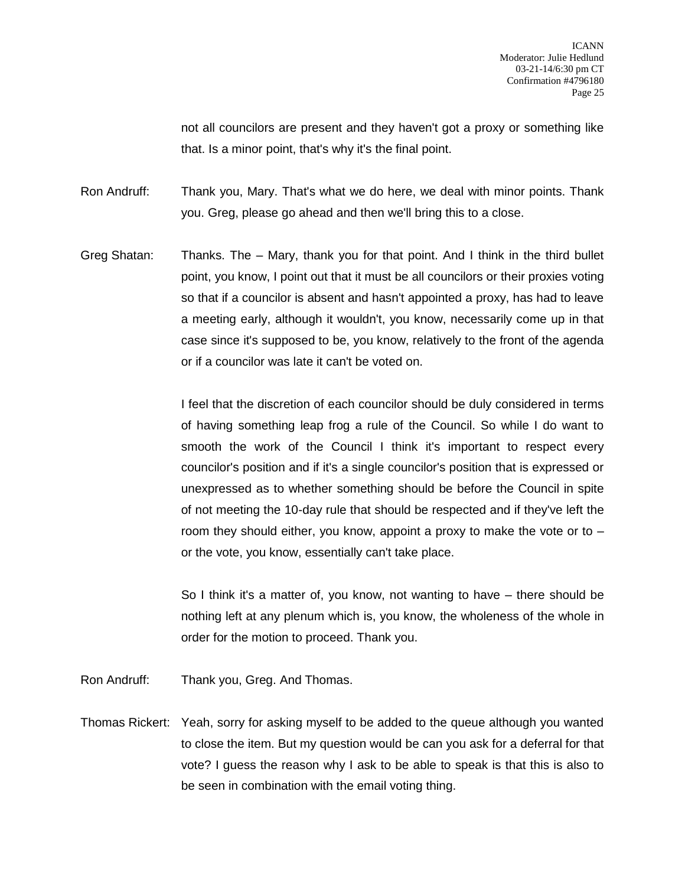not all councilors are present and they haven't got a proxy or something like that. Is a minor point, that's why it's the final point.

Ron Andruff: Thank you, Mary. That's what we do here, we deal with minor points. Thank you. Greg, please go ahead and then we'll bring this to a close.

Greg Shatan: Thanks. The – Mary, thank you for that point. And I think in the third bullet point, you know, I point out that it must be all councilors or their proxies voting so that if a councilor is absent and hasn't appointed a proxy, has had to leave a meeting early, although it wouldn't, you know, necessarily come up in that case since it's supposed to be, you know, relatively to the front of the agenda or if a councilor was late it can't be voted on.

> I feel that the discretion of each councilor should be duly considered in terms of having something leap frog a rule of the Council. So while I do want to smooth the work of the Council I think it's important to respect every councilor's position and if it's a single councilor's position that is expressed or unexpressed as to whether something should be before the Council in spite of not meeting the 10-day rule that should be respected and if they've left the room they should either, you know, appoint a proxy to make the vote or to – or the vote, you know, essentially can't take place.

> So I think it's a matter of, you know, not wanting to have – there should be nothing left at any plenum which is, you know, the wholeness of the whole in order for the motion to proceed. Thank you.

- Ron Andruff: Thank you, Greg. And Thomas.
- Thomas Rickert: Yeah, sorry for asking myself to be added to the queue although you wanted to close the item. But my question would be can you ask for a deferral for that vote? I guess the reason why I ask to be able to speak is that this is also to be seen in combination with the email voting thing.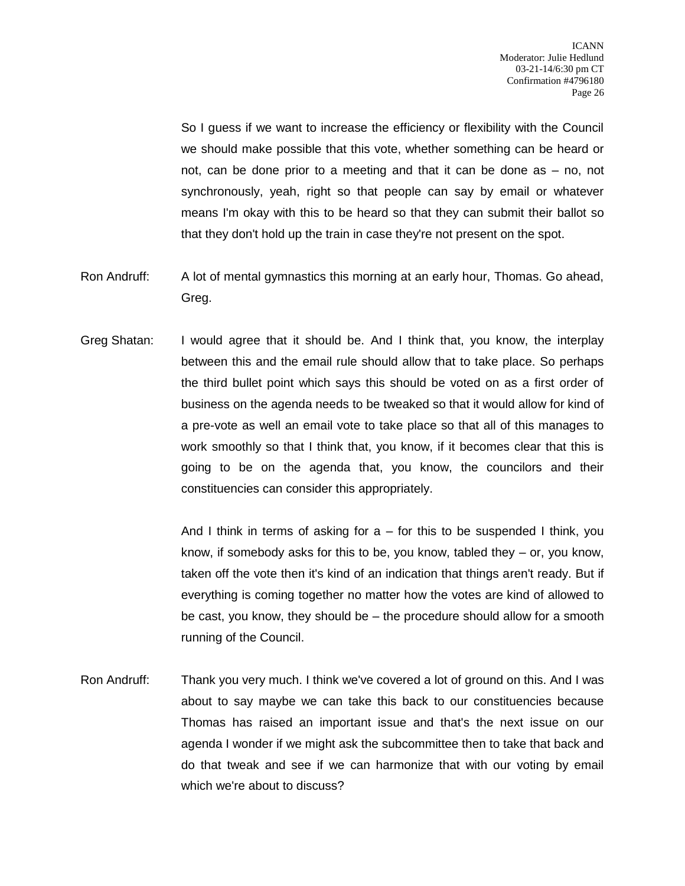So I guess if we want to increase the efficiency or flexibility with the Council we should make possible that this vote, whether something can be heard or not, can be done prior to a meeting and that it can be done as – no, not synchronously, yeah, right so that people can say by email or whatever means I'm okay with this to be heard so that they can submit their ballot so that they don't hold up the train in case they're not present on the spot.

- Ron Andruff: A lot of mental gymnastics this morning at an early hour, Thomas. Go ahead, Greg.
- Greg Shatan: I would agree that it should be. And I think that, you know, the interplay between this and the email rule should allow that to take place. So perhaps the third bullet point which says this should be voted on as a first order of business on the agenda needs to be tweaked so that it would allow for kind of a pre-vote as well an email vote to take place so that all of this manages to work smoothly so that I think that, you know, if it becomes clear that this is going to be on the agenda that, you know, the councilors and their constituencies can consider this appropriately.

And I think in terms of asking for  $a -$  for this to be suspended I think, you know, if somebody asks for this to be, you know, tabled they – or, you know, taken off the vote then it's kind of an indication that things aren't ready. But if everything is coming together no matter how the votes are kind of allowed to be cast, you know, they should be – the procedure should allow for a smooth running of the Council.

Ron Andruff: Thank you very much. I think we've covered a lot of ground on this. And I was about to say maybe we can take this back to our constituencies because Thomas has raised an important issue and that's the next issue on our agenda I wonder if we might ask the subcommittee then to take that back and do that tweak and see if we can harmonize that with our voting by email which we're about to discuss?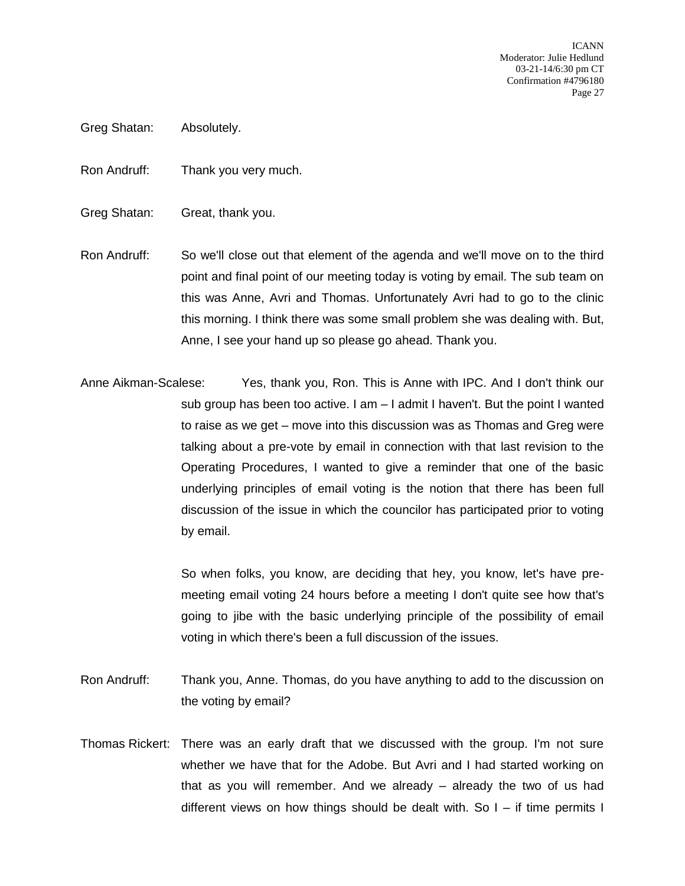ICANN Moderator: Julie Hedlund 03-21-14/6:30 pm CT Confirmation #4796180 Page 27

- Greg Shatan: Absolutely.
- Ron Andruff: Thank you very much.
- Greg Shatan: Great, thank you.
- Ron Andruff: So we'll close out that element of the agenda and we'll move on to the third point and final point of our meeting today is voting by email. The sub team on this was Anne, Avri and Thomas. Unfortunately Avri had to go to the clinic this morning. I think there was some small problem she was dealing with. But, Anne, I see your hand up so please go ahead. Thank you.
- Anne Aikman-Scalese: Yes, thank you, Ron. This is Anne with IPC. And I don't think our sub group has been too active. I am – I admit I haven't. But the point I wanted to raise as we get – move into this discussion was as Thomas and Greg were talking about a pre-vote by email in connection with that last revision to the Operating Procedures, I wanted to give a reminder that one of the basic underlying principles of email voting is the notion that there has been full discussion of the issue in which the councilor has participated prior to voting by email.

So when folks, you know, are deciding that hey, you know, let's have premeeting email voting 24 hours before a meeting I don't quite see how that's going to jibe with the basic underlying principle of the possibility of email voting in which there's been a full discussion of the issues.

- Ron Andruff: Thank you, Anne. Thomas, do you have anything to add to the discussion on the voting by email?
- Thomas Rickert: There was an early draft that we discussed with the group. I'm not sure whether we have that for the Adobe. But Avri and I had started working on that as you will remember. And we already – already the two of us had different views on how things should be dealt with. So  $I -$  if time permits I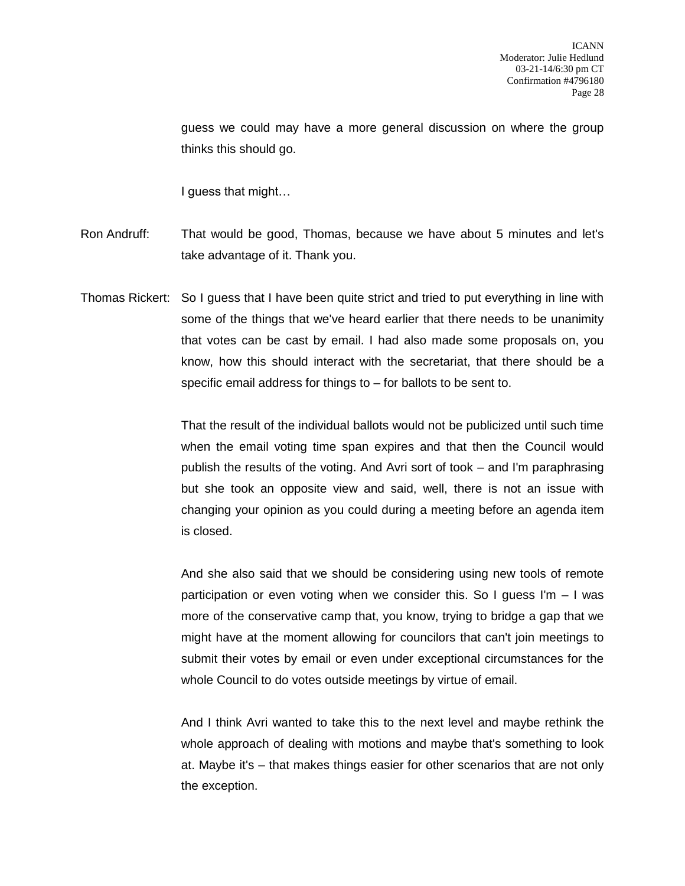guess we could may have a more general discussion on where the group thinks this should go.

I guess that might…

- Ron Andruff: That would be good, Thomas, because we have about 5 minutes and let's take advantage of it. Thank you.
- Thomas Rickert: So I guess that I have been quite strict and tried to put everything in line with some of the things that we've heard earlier that there needs to be unanimity that votes can be cast by email. I had also made some proposals on, you know, how this should interact with the secretariat, that there should be a specific email address for things to – for ballots to be sent to.

That the result of the individual ballots would not be publicized until such time when the email voting time span expires and that then the Council would publish the results of the voting. And Avri sort of took – and I'm paraphrasing but she took an opposite view and said, well, there is not an issue with changing your opinion as you could during a meeting before an agenda item is closed.

And she also said that we should be considering using new tools of remote participation or even voting when we consider this. So I guess I'm – I was more of the conservative camp that, you know, trying to bridge a gap that we might have at the moment allowing for councilors that can't join meetings to submit their votes by email or even under exceptional circumstances for the whole Council to do votes outside meetings by virtue of email.

And I think Avri wanted to take this to the next level and maybe rethink the whole approach of dealing with motions and maybe that's something to look at. Maybe it's – that makes things easier for other scenarios that are not only the exception.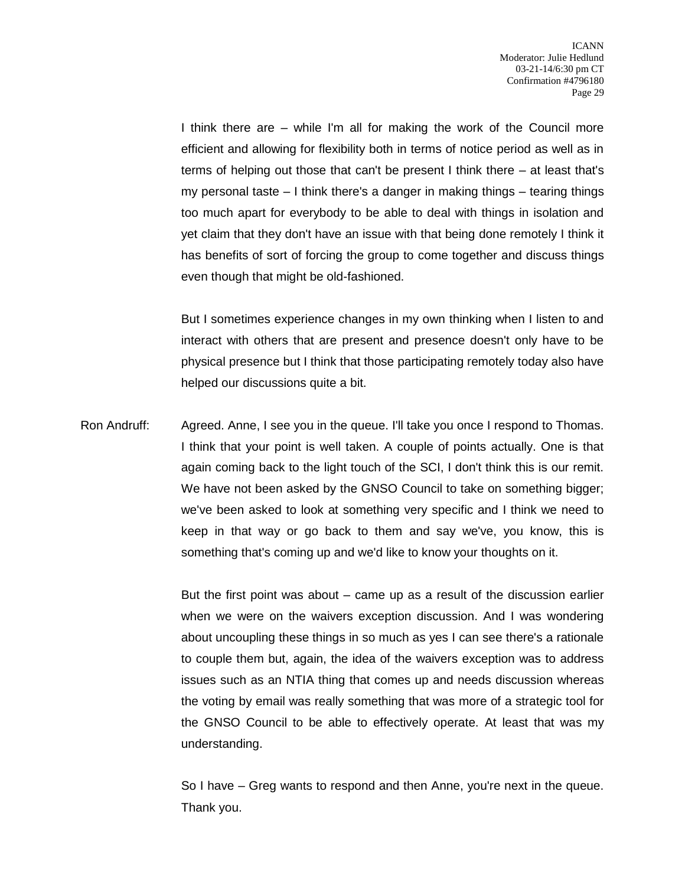I think there are – while I'm all for making the work of the Council more efficient and allowing for flexibility both in terms of notice period as well as in terms of helping out those that can't be present I think there – at least that's my personal taste  $-1$  think there's a danger in making things  $-$  tearing things too much apart for everybody to be able to deal with things in isolation and yet claim that they don't have an issue with that being done remotely I think it has benefits of sort of forcing the group to come together and discuss things even though that might be old-fashioned.

But I sometimes experience changes in my own thinking when I listen to and interact with others that are present and presence doesn't only have to be physical presence but I think that those participating remotely today also have helped our discussions quite a bit.

Ron Andruff: Agreed. Anne, I see you in the queue. I'll take you once I respond to Thomas. I think that your point is well taken. A couple of points actually. One is that again coming back to the light touch of the SCI, I don't think this is our remit. We have not been asked by the GNSO Council to take on something bigger; we've been asked to look at something very specific and I think we need to keep in that way or go back to them and say we've, you know, this is something that's coming up and we'd like to know your thoughts on it.

> But the first point was about – came up as a result of the discussion earlier when we were on the waivers exception discussion. And I was wondering about uncoupling these things in so much as yes I can see there's a rationale to couple them but, again, the idea of the waivers exception was to address issues such as an NTIA thing that comes up and needs discussion whereas the voting by email was really something that was more of a strategic tool for the GNSO Council to be able to effectively operate. At least that was my understanding.

> So I have – Greg wants to respond and then Anne, you're next in the queue. Thank you.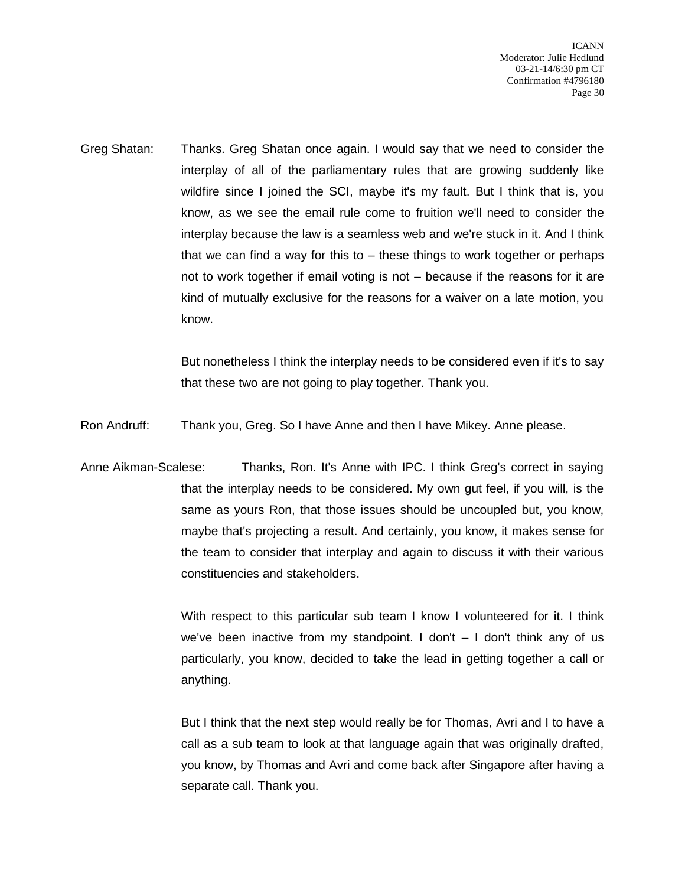ICANN Moderator: Julie Hedlund 03-21-14/6:30 pm CT Confirmation #4796180 Page 30

Greg Shatan: Thanks. Greg Shatan once again. I would say that we need to consider the interplay of all of the parliamentary rules that are growing suddenly like wildfire since I joined the SCI, maybe it's my fault. But I think that is, you know, as we see the email rule come to fruition we'll need to consider the interplay because the law is a seamless web and we're stuck in it. And I think that we can find a way for this to – these things to work together or perhaps not to work together if email voting is not – because if the reasons for it are kind of mutually exclusive for the reasons for a waiver on a late motion, you know.

> But nonetheless I think the interplay needs to be considered even if it's to say that these two are not going to play together. Thank you.

Ron Andruff: Thank you, Greg. So I have Anne and then I have Mikey. Anne please.

Anne Aikman-Scalese: Thanks, Ron. It's Anne with IPC. I think Greg's correct in saying that the interplay needs to be considered. My own gut feel, if you will, is the same as yours Ron, that those issues should be uncoupled but, you know, maybe that's projecting a result. And certainly, you know, it makes sense for the team to consider that interplay and again to discuss it with their various constituencies and stakeholders.

> With respect to this particular sub team I know I volunteered for it. I think we've been inactive from my standpoint. I don't – I don't think any of us particularly, you know, decided to take the lead in getting together a call or anything.

> But I think that the next step would really be for Thomas, Avri and I to have a call as a sub team to look at that language again that was originally drafted, you know, by Thomas and Avri and come back after Singapore after having a separate call. Thank you.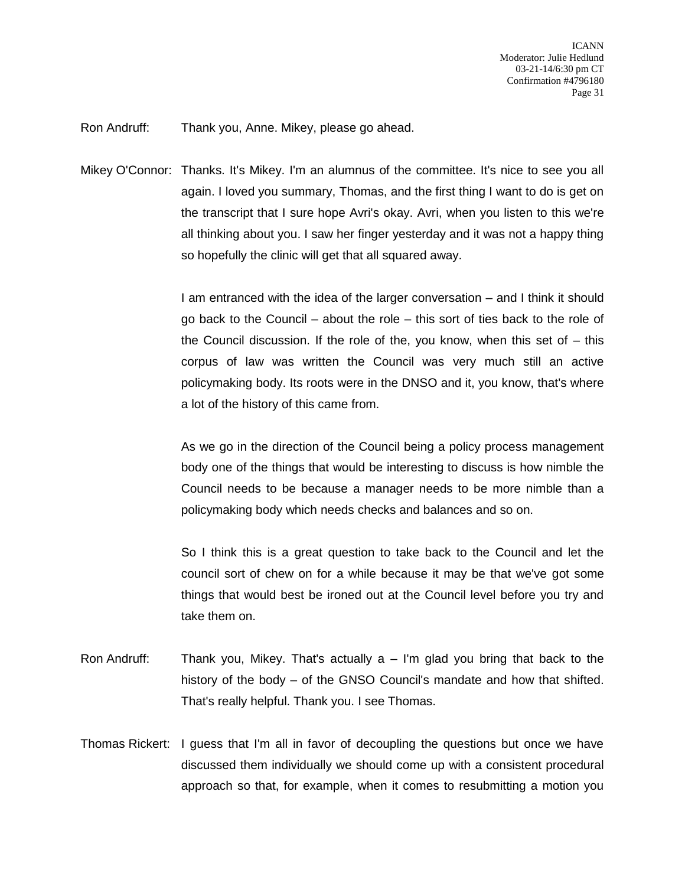Ron Andruff: Thank you, Anne. Mikey, please go ahead.

Mikey O'Connor: Thanks. It's Mikey. I'm an alumnus of the committee. It's nice to see you all again. I loved you summary, Thomas, and the first thing I want to do is get on the transcript that I sure hope Avri's okay. Avri, when you listen to this we're all thinking about you. I saw her finger yesterday and it was not a happy thing so hopefully the clinic will get that all squared away.

> I am entranced with the idea of the larger conversation – and I think it should go back to the Council – about the role – this sort of ties back to the role of the Council discussion. If the role of the, you know, when this set of  $-$  this corpus of law was written the Council was very much still an active policymaking body. Its roots were in the DNSO and it, you know, that's where a lot of the history of this came from.

> As we go in the direction of the Council being a policy process management body one of the things that would be interesting to discuss is how nimble the Council needs to be because a manager needs to be more nimble than a policymaking body which needs checks and balances and so on.

> So I think this is a great question to take back to the Council and let the council sort of chew on for a while because it may be that we've got some things that would best be ironed out at the Council level before you try and take them on.

- Ron Andruff: Thank you, Mikey. That's actually  $a I'm$  glad you bring that back to the history of the body – of the GNSO Council's mandate and how that shifted. That's really helpful. Thank you. I see Thomas.
- Thomas Rickert: I guess that I'm all in favor of decoupling the questions but once we have discussed them individually we should come up with a consistent procedural approach so that, for example, when it comes to resubmitting a motion you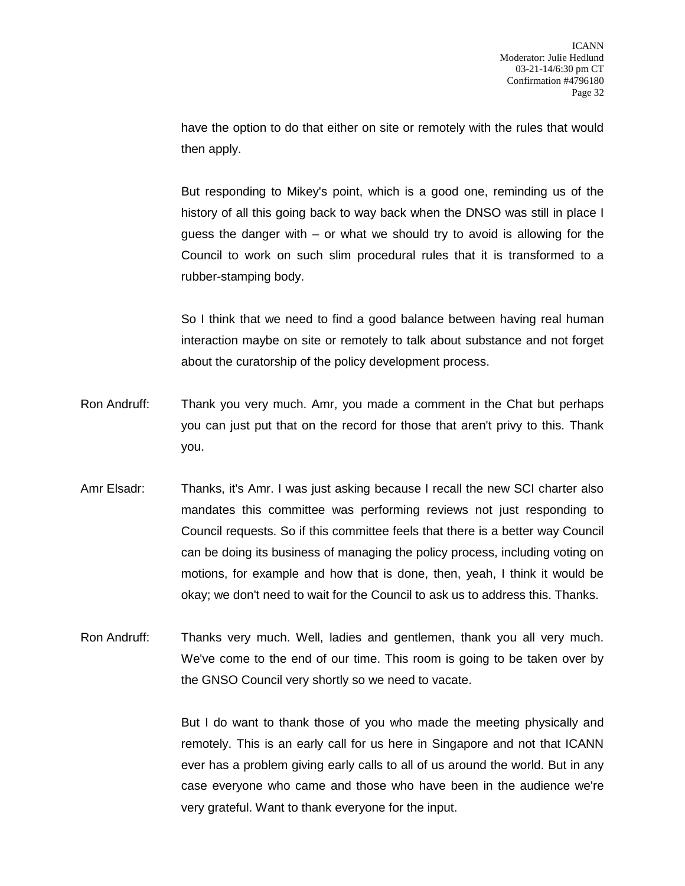have the option to do that either on site or remotely with the rules that would then apply.

But responding to Mikey's point, which is a good one, reminding us of the history of all this going back to way back when the DNSO was still in place I guess the danger with – or what we should try to avoid is allowing for the Council to work on such slim procedural rules that it is transformed to a rubber-stamping body.

So I think that we need to find a good balance between having real human interaction maybe on site or remotely to talk about substance and not forget about the curatorship of the policy development process.

- Ron Andruff: Thank you very much. Amr, you made a comment in the Chat but perhaps you can just put that on the record for those that aren't privy to this. Thank you.
- Amr Elsadr: Thanks, it's Amr. I was just asking because I recall the new SCI charter also mandates this committee was performing reviews not just responding to Council requests. So if this committee feels that there is a better way Council can be doing its business of managing the policy process, including voting on motions, for example and how that is done, then, yeah, I think it would be okay; we don't need to wait for the Council to ask us to address this. Thanks.
- Ron Andruff: Thanks very much. Well, ladies and gentlemen, thank you all very much. We've come to the end of our time. This room is going to be taken over by the GNSO Council very shortly so we need to vacate.

But I do want to thank those of you who made the meeting physically and remotely. This is an early call for us here in Singapore and not that ICANN ever has a problem giving early calls to all of us around the world. But in any case everyone who came and those who have been in the audience we're very grateful. Want to thank everyone for the input.